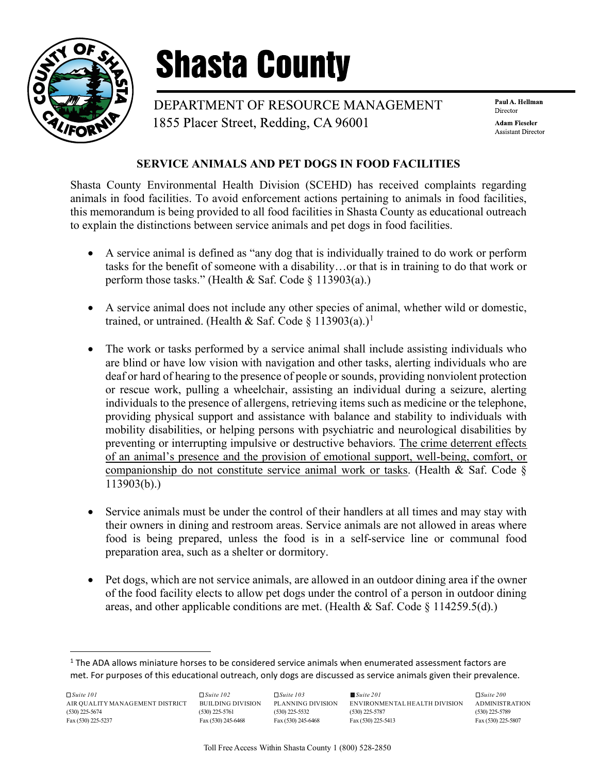

## **Shasta County**

DEPARTMENT OF RESOURCE MANAGEMENT 1855 Placer Street, Redding, CA 96001

Paul A. Hellman Director **Adam Fieseler Assistant Director** 

## SERVICE ANIMALS AND PET DOGS IN FOOD FACILITIES

Shasta County Environmental Health Division (SCEHD) has received complaints regarding animals in food facilities. To avoid enforcement actions pertaining to animals in food facilities, this memorandum is being provided to all food facilities in Shasta County as educational outreach to explain the distinctions between service animals and pet dogs in food facilities.

- A service animal is defined as "any dog that is individually trained to do work or perform tasks for the benefit of someone with a disability…or that is in training to do that work or perform those tasks." (Health & Saf. Code  $\S$  113903(a).)
- A service animal does not include any other species of animal, whether wild or domestic, trained, or untrained. (Health & Saf. Code § 113903(a).)<sup>1</sup>
- The work or tasks performed by a service animal shall include assisting individuals who are blind or have low vision with navigation and other tasks, alerting individuals who are deaf or hard of hearing to the presence of people or sounds, providing nonviolent protection or rescue work, pulling a wheelchair, assisting an individual during a seizure, alerting individuals to the presence of allergens, retrieving items such as medicine or the telephone, providing physical support and assistance with balance and stability to individuals with mobility disabilities, or helping persons with psychiatric and neurological disabilities by preventing or interrupting impulsive or destructive behaviors. The crime deterrent effects of an animal's presence and the provision of emotional support, well-being, comfort, or companionship do not constitute service animal work or tasks. (Health & Saf. Code § 113903(b).)
- Service animals must be under the control of their handlers at all times and may stay with their owners in dining and restroom areas. Service animals are not allowed in areas where food is being prepared, unless the food is in a self-service line or communal food preparation area, such as a shelter or dormitory.
- Pet dogs, which are not service animals, are allowed in an outdoor dining area if the owner of the food facility elects to allow pet dogs under the control of a person in outdoor dining areas, and other applicable conditions are met. (Health & Saf. Code  $\S$  114259.5(d).)

 $<sup>1</sup>$  The ADA allows miniature horses to be considered service animals when enumerated assessment factors are</sup> met. For purposes of this educational outreach, only dogs are discussed as service animals given their prevalence.